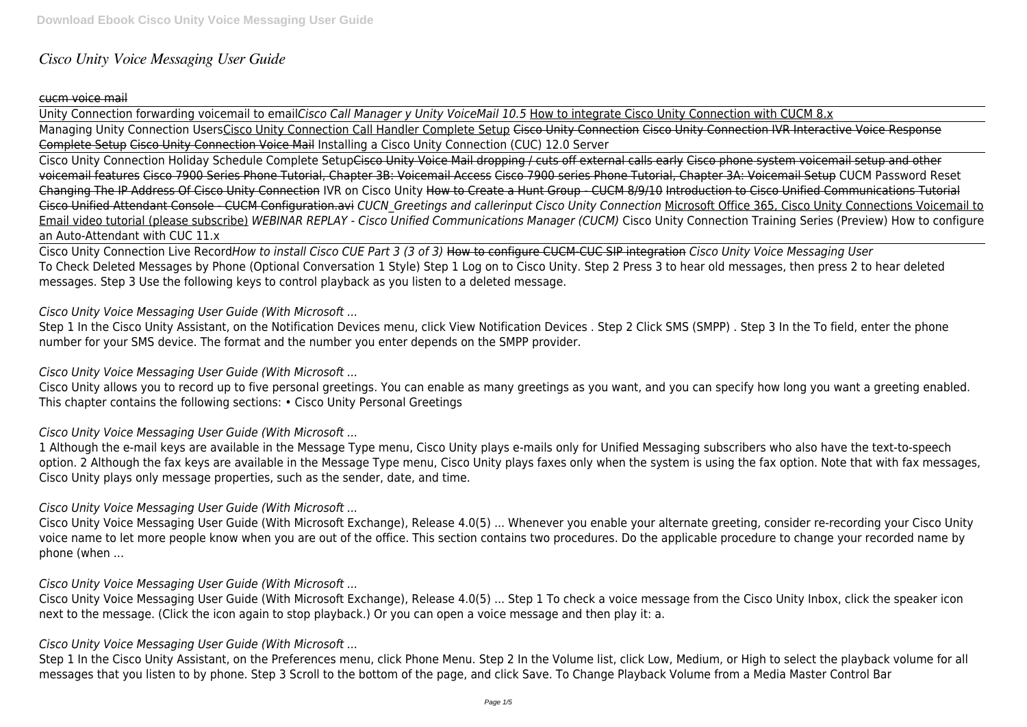# *Cisco Unity Voice Messaging User Guide*

### cucm voice mail

Unity Connection forwarding voicemail to email*Cisco Call Manager y Unity VoiceMail 10.5* How to integrate Cisco Unity Connection with CUCM 8.x Managing Unity Connection UsersCisco Unity Connection Call Handler Complete Setup Cisco Unity Connection Cisco Unity Connection IVR Interactive Voice Response Complete Setup Cisco Unity Connection Voice Mail Installing a Cisco Unity Connection (CUC) 12.0 Server

Cisco Unity Connection Holiday Schedule Complete SetupCisco Unity Voice Mail dropping / cuts off external calls early Cisco phone system voicemail setup and other voicemail features Cisco 7900 Series Phone Tutorial, Chapter 3B: Voicemail Access Cisco 7900 series Phone Tutorial, Chapter 3A: Voicemail Setup CUCM Password Reset Changing The IP Address Of Cisco Unity Connection IVR on Cisco Unity How to Create a Hunt Group - CUCM 8/9/10 Introduction to Cisco Unified Communications Tutorial Cisco Unified Attendant Console - CUCM Configuration.avi *CUCN\_Greetings and callerinput Cisco Unity Connection* Microsoft Office 365, Cisco Unity Connections Voicemail to Email video tutorial (please subscribe) *WEBINAR REPLAY - Cisco Unified Communications Manager (CUCM)* Cisco Unity Connection Training Series (Preview) How to configure an Auto-Attendant with CUC 11.x

Cisco Unity Connection Live Record*How to install Cisco CUE Part 3 (3 of 3)* How to configure CUCM-CUC SIP integration *Cisco Unity Voice Messaging User* To Check Deleted Messages by Phone (Optional Conversation 1 Style) Step 1 Log on to Cisco Unity. Step 2 Press 3 to hear old messages, then press 2 to hear deleted messages. Step 3 Use the following keys to control playback as you listen to a deleted message.

#### *Cisco Unity Voice Messaging User Guide (With Microsoft ...*

Step 1 In the Cisco Unity Assistant, on the Notification Devices menu, click View Notification Devices . Step 2 Click SMS (SMPP) . Step 3 In the To field, enter the phone number for your SMS device. The format and the number you enter depends on the SMPP provider.

#### *Cisco Unity Voice Messaging User Guide (With Microsoft ...*

Cisco Unity allows you to record up to five personal greetings. You can enable as many greetings as you want, and you can specify how long you want a greeting enabled. This chapter contains the following sections: • Cisco Unity Personal Greetings

### *Cisco Unity Voice Messaging User Guide (With Microsoft ...*

1 Although the e-mail keys are available in the Message Type menu, Cisco Unity plays e-mails only for Unified Messaging subscribers who also have the text-to-speech option. 2 Although the fax keys are available in the Message Type menu, Cisco Unity plays faxes only when the system is using the fax option. Note that with fax messages, Cisco Unity plays only message properties, such as the sender, date, and time.

#### *Cisco Unity Voice Messaging User Guide (With Microsoft ...*

Cisco Unity Voice Messaging User Guide (With Microsoft Exchange), Release 4.0(5) ... Whenever you enable your alternate greeting, consider re-recording your Cisco Unity voice name to let more people know when you are out of the office. This section contains two procedures. Do the applicable procedure to change your recorded name by phone (when ...

#### *Cisco Unity Voice Messaging User Guide (With Microsoft ...*

Cisco Unity Voice Messaging User Guide (With Microsoft Exchange), Release 4.0(5) ... Step 1 To check a voice message from the Cisco Unity Inbox, click the speaker icon next to the message. (Click the icon again to stop playback.) Or you can open a voice message and then play it: a.

#### *Cisco Unity Voice Messaging User Guide (With Microsoft ...*

Step 1 In the Cisco Unity Assistant, on the Preferences menu, click Phone Menu. Step 2 In the Volume list, click Low, Medium, or High to select the playback volume for all messages that you listen to by phone. Step 3 Scroll to the bottom of the page, and click Save. To Change Playback Volume from a Media Master Control Bar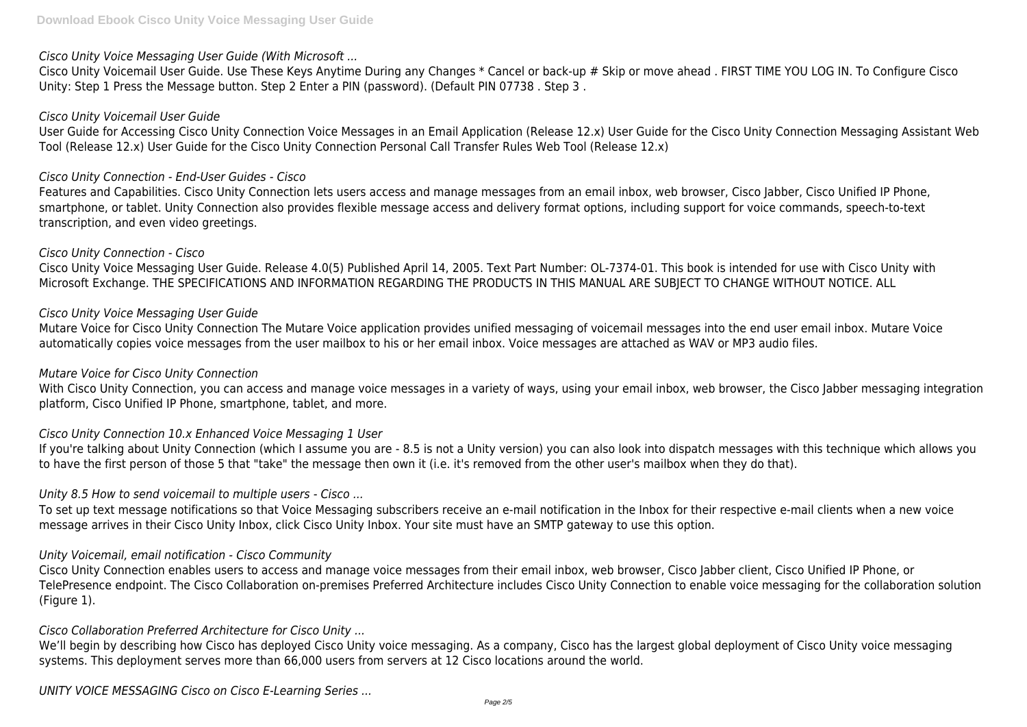# *Cisco Unity Voice Messaging User Guide (With Microsoft ...*

Cisco Unity Voicemail User Guide. Use These Keys Anytime During any Changes \* Cancel or back-up # Skip or move ahead . FIRST TIME YOU LOG IN. To Configure Cisco Unity: Step 1 Press the Message button. Step 2 Enter a PIN (password). (Default PIN 07738 . Step 3 .

#### *Cisco Unity Voicemail User Guide*

User Guide for Accessing Cisco Unity Connection Voice Messages in an Email Application (Release 12.x) User Guide for the Cisco Unity Connection Messaging Assistant Web Tool (Release 12.x) User Guide for the Cisco Unity Connection Personal Call Transfer Rules Web Tool (Release 12.x)

### *Cisco Unity Connection - End-User Guides - Cisco*

Features and Capabilities. Cisco Unity Connection lets users access and manage messages from an email inbox, web browser, Cisco Jabber, Cisco Unified IP Phone, smartphone, or tablet. Unity Connection also provides flexible message access and delivery format options, including support for voice commands, speech-to-text transcription, and even video greetings.

With Cisco Unity Connection, you can access and manage voice messages in a variety of ways, using your email inbox, web browser, the Cisco Jabber messaging integration platform, Cisco Unified IP Phone, smartphone, tablet, and more.

#### *Cisco Unity Connection - Cisco*

Cisco Unity Voice Messaging User Guide. Release 4.0(5) Published April 14, 2005. Text Part Number: OL-7374-01. This book is intended for use with Cisco Unity with Microsoft Exchange. THE SPECIFICATIONS AND INFORMATION REGARDING THE PRODUCTS IN THIS MANUAL ARE SUBJECT TO CHANGE WITHOUT NOTICE. ALL

To set up text message notifications so that Voice Messaging subscribers receive an e-mail notification in the Inbox for their respective e-mail clients when a new voice message arrives in their Cisco Unity Inbox, click Cisco Unity Inbox. Your site must have an SMTP gateway to use this option.

#### *Cisco Unity Voice Messaging User Guide*

Mutare Voice for Cisco Unity Connection The Mutare Voice application provides unified messaging of voicemail messages into the end user email inbox. Mutare Voice automatically copies voice messages from the user mailbox to his or her email inbox. Voice messages are attached as WAV or MP3 audio files.

We'll begin by describing how Cisco has deployed Cisco Unity voice messaging. As a company, Cisco has the largest global deployment of Cisco Unity voice messaging systems. This deployment serves more than 66,000 users from servers at 12 Cisco locations around the world.

#### *Mutare Voice for Cisco Unity Connection*

### *Cisco Unity Connection 10.x Enhanced Voice Messaging 1 User*

If you're talking about Unity Connection (which I assume you are - 8.5 is not a Unity version) you can also look into dispatch messages with this technique which allows you to have the first person of those 5 that "take" the message then own it (i.e. it's removed from the other user's mailbox when they do that).

### *Unity 8.5 How to send voicemail to multiple users - Cisco ...*

#### *Unity Voicemail, email notification - Cisco Community*

Cisco Unity Connection enables users to access and manage voice messages from their email inbox, web browser, Cisco Jabber client, Cisco Unified IP Phone, or TelePresence endpoint. The Cisco Collaboration on-premises Preferred Architecture includes Cisco Unity Connection to enable voice messaging for the collaboration solution (Figure 1).

### *Cisco Collaboration Preferred Architecture for Cisco Unity ...*

*UNITY VOICE MESSAGING Cisco on Cisco E-Learning Series ...*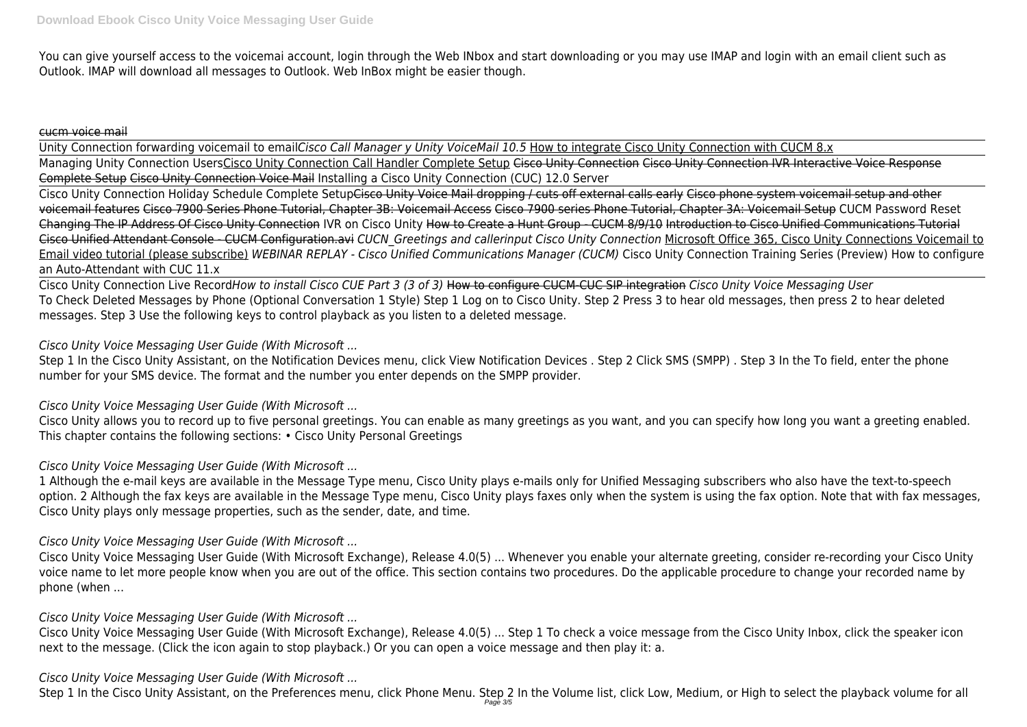You can give yourself access to the voicemai account, login through the Web INbox and start downloading or you may use IMAP and login with an email client such as Outlook. IMAP will download all messages to Outlook. Web InBox might be easier though.

#### cucm voice mail

Unity Connection forwarding voicemail to email*Cisco Call Manager y Unity VoiceMail 10.5* How to integrate Cisco Unity Connection with CUCM 8.x Managing Unity Connection UsersCisco Unity Connection Call Handler Complete Setup Cisco Unity Connection Cisco Unity Connection IVR Interactive Voice Response Complete Setup Cisco Unity Connection Voice Mail Installing a Cisco Unity Connection (CUC) 12.0 Server

Cisco Unity Connection Holiday Schedule Complete SetupCisco Unity Voice Mail dropping / cuts off external calls early Cisco phone system voicemail setup and other voicemail features Cisco 7900 Series Phone Tutorial, Chapter 3B: Voicemail Access Cisco 7900 series Phone Tutorial, Chapter 3A: Voicemail Setup CUCM Password Reset Changing The IP Address Of Cisco Unity Connection IVR on Cisco Unity How to Create a Hunt Group - CUCM 8/9/10 Introduction to Cisco Unified Communications Tutorial Cisco Unified Attendant Console - CUCM Configuration.avi *CUCN\_Greetings and callerinput Cisco Unity Connection* Microsoft Office 365, Cisco Unity Connections Voicemail to Email video tutorial (please subscribe) *WEBINAR REPLAY - Cisco Unified Communications Manager (CUCM)* Cisco Unity Connection Training Series (Preview) How to configure an Auto-Attendant with CUC 11.x

Cisco Unity Connection Live Record*How to install Cisco CUE Part 3 (3 of 3)* How to configure CUCM-CUC SIP integration *Cisco Unity Voice Messaging User* To Check Deleted Messages by Phone (Optional Conversation 1 Style) Step 1 Log on to Cisco Unity. Step 2 Press 3 to hear old messages, then press 2 to hear deleted messages. Step 3 Use the following keys to control playback as you listen to a deleted message.

### *Cisco Unity Voice Messaging User Guide (With Microsoft ...*

Step 1 In the Cisco Unity Assistant, on the Notification Devices menu, click View Notification Devices . Step 2 Click SMS (SMPP) . Step 3 In the To field, enter the phone number for your SMS device. The format and the number you enter depends on the SMPP provider.

### *Cisco Unity Voice Messaging User Guide (With Microsoft ...*

Cisco Unity allows you to record up to five personal greetings. You can enable as many greetings as you want, and you can specify how long you want a greeting enabled. This chapter contains the following sections: • Cisco Unity Personal Greetings

# *Cisco Unity Voice Messaging User Guide (With Microsoft ...*

1 Although the e-mail keys are available in the Message Type menu, Cisco Unity plays e-mails only for Unified Messaging subscribers who also have the text-to-speech option. 2 Although the fax keys are available in the Message Type menu, Cisco Unity plays faxes only when the system is using the fax option. Note that with fax messages, Cisco Unity plays only message properties, such as the sender, date, and time.

### *Cisco Unity Voice Messaging User Guide (With Microsoft ...*

Cisco Unity Voice Messaging User Guide (With Microsoft Exchange), Release 4.0(5) ... Whenever you enable your alternate greeting, consider re-recording your Cisco Unity voice name to let more people know when you are out of the office. This section contains two procedures. Do the applicable procedure to change your recorded name by phone (when ...

### *Cisco Unity Voice Messaging User Guide (With Microsoft ...*

Cisco Unity Voice Messaging User Guide (With Microsoft Exchange), Release 4.0(5) ... Step 1 To check a voice message from the Cisco Unity Inbox, click the speaker icon next to the message. (Click the icon again to stop playback.) Or you can open a voice message and then play it: a.

# *Cisco Unity Voice Messaging User Guide (With Microsoft ...*

Step 1 In the Cisco Unity Assistant, on the Preferences menu, click Phone Menu. Step 2 In the Volume list, click Low, Medium, or High to select the playback volume for all Page 3/5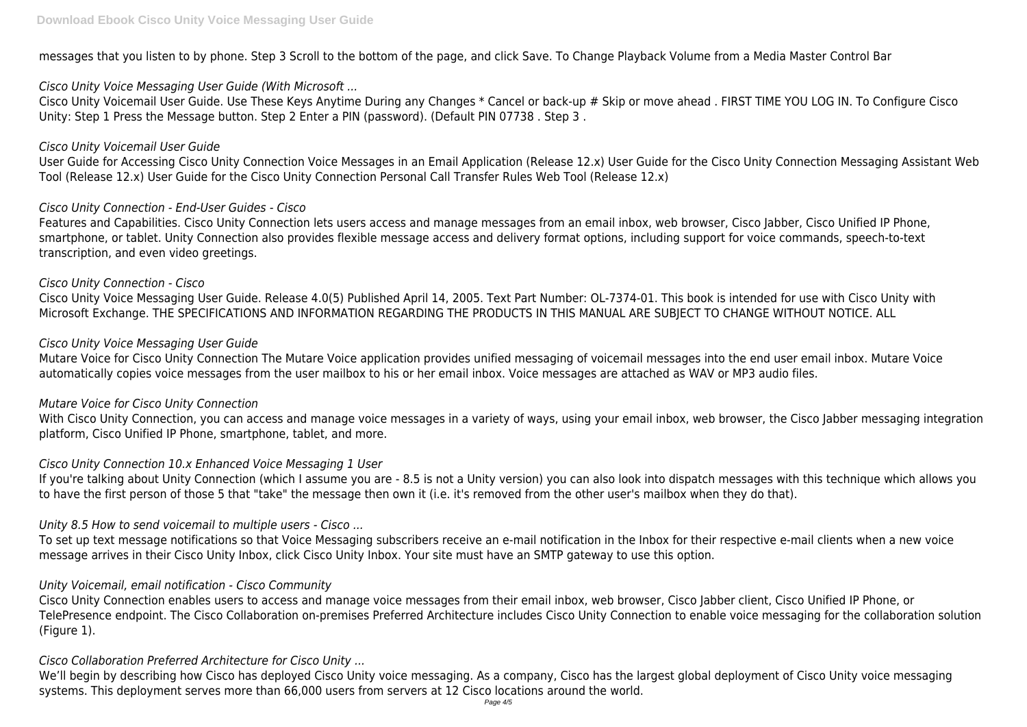messages that you listen to by phone. Step 3 Scroll to the bottom of the page, and click Save. To Change Playback Volume from a Media Master Control Bar

# *Cisco Unity Voice Messaging User Guide (With Microsoft ...*

Cisco Unity Voicemail User Guide. Use These Keys Anytime During any Changes \* Cancel or back-up # Skip or move ahead . FIRST TIME YOU LOG IN. To Configure Cisco Unity: Step 1 Press the Message button. Step 2 Enter a PIN (password). (Default PIN 07738 . Step 3 .

### *Cisco Unity Voicemail User Guide*

User Guide for Accessing Cisco Unity Connection Voice Messages in an Email Application (Release 12.x) User Guide for the Cisco Unity Connection Messaging Assistant Web Tool (Release 12.x) User Guide for the Cisco Unity Connection Personal Call Transfer Rules Web Tool (Release 12.x)

# *Cisco Unity Connection - End-User Guides - Cisco*

Features and Capabilities. Cisco Unity Connection lets users access and manage messages from an email inbox, web browser, Cisco Jabber, Cisco Unified IP Phone, smartphone, or tablet. Unity Connection also provides flexible message access and delivery format options, including support for voice commands, speech-to-text transcription, and even video greetings.

With Cisco Unity Connection, you can access and manage voice messages in a variety of ways, using your email inbox, web browser, the Cisco Jabber messaging integration platform, Cisco Unified IP Phone, smartphone, tablet, and more.

# *Cisco Unity Connection - Cisco*

Cisco Unity Voice Messaging User Guide. Release 4.0(5) Published April 14, 2005. Text Part Number: OL-7374-01. This book is intended for use with Cisco Unity with Microsoft Exchange. THE SPECIFICATIONS AND INFORMATION REGARDING THE PRODUCTS IN THIS MANUAL ARE SUBJECT TO CHANGE WITHOUT NOTICE. ALL

### *Cisco Unity Voice Messaging User Guide*

Mutare Voice for Cisco Unity Connection The Mutare Voice application provides unified messaging of voicemail messages into the end user email inbox. Mutare Voice automatically copies voice messages from the user mailbox to his or her email inbox. Voice messages are attached as WAV or MP3 audio files.

We'll begin by describing how Cisco has deployed Cisco Unity voice messaging. As a company, Cisco has the largest global deployment of Cisco Unity voice messaging systems. This deployment serves more than 66,000 users from servers at 12 Cisco locations around the world.

### *Mutare Voice for Cisco Unity Connection*

### *Cisco Unity Connection 10.x Enhanced Voice Messaging 1 User*

If you're talking about Unity Connection (which I assume you are - 8.5 is not a Unity version) you can also look into dispatch messages with this technique which allows you to have the first person of those 5 that "take" the message then own it (i.e. it's removed from the other user's mailbox when they do that).

# *Unity 8.5 How to send voicemail to multiple users - Cisco ...*

To set up text message notifications so that Voice Messaging subscribers receive an e-mail notification in the Inbox for their respective e-mail clients when a new voice message arrives in their Cisco Unity Inbox, click Cisco Unity Inbox. Your site must have an SMTP gateway to use this option.

# *Unity Voicemail, email notification - Cisco Community*

Cisco Unity Connection enables users to access and manage voice messages from their email inbox, web browser, Cisco Jabber client, Cisco Unified IP Phone, or TelePresence endpoint. The Cisco Collaboration on-premises Preferred Architecture includes Cisco Unity Connection to enable voice messaging for the collaboration solution (Figure 1).

# *Cisco Collaboration Preferred Architecture for Cisco Unity ...*